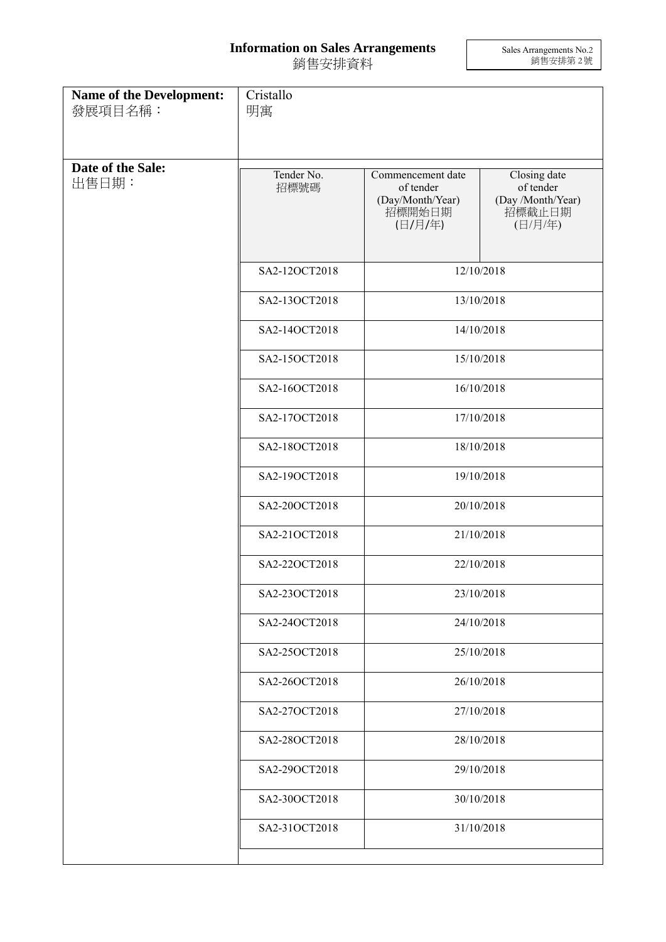## **Information on Sales Arrangements** 銷售安排資料

Sales Arrangements No.2 銷售安排第 2 號

| <b>Name of the Development:</b><br>發展項目名稱: | Cristallo<br>明寓    |                                                                         |                                                                     |  |
|--------------------------------------------|--------------------|-------------------------------------------------------------------------|---------------------------------------------------------------------|--|
| Date of the Sale:<br>出售日期:                 | Tender No.<br>招標號碼 | Commencement date<br>of tender<br>(Day/Month/Year)<br>招標開始日期<br>(日/月/年) | Closing date<br>of tender<br>(Day /Month/Year)<br>招標截止日期<br>(日/月/年) |  |
|                                            | SA2-12OCT2018      | 12/10/2018                                                              |                                                                     |  |
|                                            | SA2-13OCT2018      | 13/10/2018                                                              |                                                                     |  |
|                                            | SA2-14OCT2018      | 14/10/2018                                                              |                                                                     |  |
|                                            | SA2-15OCT2018      | 15/10/2018                                                              |                                                                     |  |
|                                            | SA2-16OCT2018      | 16/10/2018                                                              |                                                                     |  |
|                                            | SA2-17OCT2018      | 17/10/2018                                                              |                                                                     |  |
|                                            | SA2-18OCT2018      | 18/10/2018                                                              |                                                                     |  |
|                                            | SA2-19OCT2018      | 19/10/2018                                                              |                                                                     |  |
|                                            | SA2-20OCT2018      | 20/10/2018                                                              |                                                                     |  |
|                                            | SA2-21OCT2018      | 21/10/2018                                                              |                                                                     |  |
|                                            | SA2-22OCT2018      | 22/10/2018                                                              |                                                                     |  |
|                                            | SA2-23OCT2018      |                                                                         | 23/10/2018                                                          |  |
|                                            | SA2-24OCT2018      |                                                                         | 24/10/2018                                                          |  |
|                                            | SA2-25OCT2018      | 25/10/2018                                                              |                                                                     |  |
|                                            | SA2-26OCT2018      | 26/10/2018                                                              |                                                                     |  |
|                                            | SA2-27OCT2018      | 27/10/2018                                                              |                                                                     |  |
|                                            | SA2-28OCT2018      | 28/10/2018                                                              |                                                                     |  |
|                                            | SA2-29OCT2018      | 29/10/2018                                                              |                                                                     |  |
|                                            | SA2-30OCT2018      | 30/10/2018                                                              |                                                                     |  |
|                                            | SA2-31OCT2018      |                                                                         | 31/10/2018                                                          |  |
|                                            |                    |                                                                         |                                                                     |  |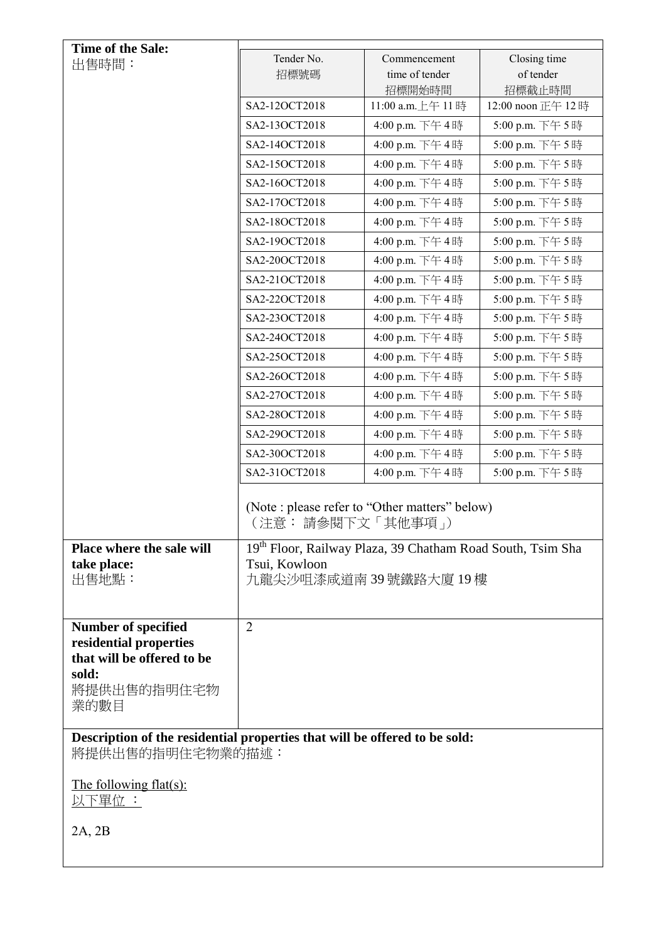| <b>Time of the Sale:</b>                                                                       |                                                                      |                              |                             |  |
|------------------------------------------------------------------------------------------------|----------------------------------------------------------------------|------------------------------|-----------------------------|--|
| 出售時間:                                                                                          | Tender No.                                                           | Commencement                 | Closing time                |  |
|                                                                                                | 招標號碼                                                                 | time of tender               | of tender                   |  |
|                                                                                                | SA2-12OCT2018                                                        | 招標開始時間<br>11:00 a.m. 上午 11 時 | 招標截止時間<br>12:00 noon 正午 12時 |  |
|                                                                                                | SA2-13OCT2018                                                        | 4:00 p.m. 下午4時               | 5:00 p.m. 下午5時              |  |
|                                                                                                | SA2-14OCT2018                                                        | 4:00 p.m. 下午4時               | 5:00 p.m. 下午5時              |  |
|                                                                                                | SA2-15OCT2018                                                        | 4:00 p.m. 下午4時               | 5:00 p.m. 下午5時              |  |
|                                                                                                | SA2-16OCT2018                                                        | 4:00 p.m. 下午4時               | 5:00 p.m. 下午5時              |  |
|                                                                                                | SA2-17OCT2018                                                        | 4:00 p.m. 下午4時               | 5:00 p.m. 下午5時              |  |
|                                                                                                | SA2-18OCT2018                                                        | 4:00 p.m. 下午4時               | 5:00 p.m. 下午5時              |  |
|                                                                                                | SA2-19OCT2018                                                        | 4:00 p.m. 下午4時               | 5:00 p.m. 下午5時              |  |
|                                                                                                | SA2-20OCT2018                                                        | 4:00 p.m. 下午4時               | 5:00 p.m. 下午5時              |  |
|                                                                                                | SA2-21OCT2018                                                        | 4:00 p.m. 下午4時               | 5:00 p.m. 下午5時              |  |
|                                                                                                | SA2-22OCT2018                                                        | 4:00 p.m. 下午4時               | 5:00 p.m. 下午5時              |  |
|                                                                                                | SA2-23OCT2018                                                        | 4:00 p.m. 下午4時               | 5:00 p.m. 下午5時              |  |
|                                                                                                | SA2-24OCT2018                                                        | 4:00 p.m. 下午4時               | 5:00 p.m. 下午5時              |  |
|                                                                                                | SA2-25OCT2018                                                        | 4:00 p.m. 下午4時               | 5:00 p.m. 下午5時              |  |
|                                                                                                | SA2-26OCT2018                                                        | 4:00 p.m. 下午4時               | 5:00 p.m. 下午5時              |  |
|                                                                                                | SA2-27OCT2018                                                        | 4:00 p.m. 下午4時               | 5:00 p.m. 下午5時              |  |
|                                                                                                | SA2-28OCT2018                                                        | 4:00 p.m. 下午4時               | 5:00 p.m. 下午5時              |  |
|                                                                                                | SA2-29OCT2018                                                        | 4:00 p.m. 下午4時               | 5:00 p.m. 下午5時              |  |
|                                                                                                | SA2-30OCT2018                                                        | 4:00 p.m. 下午4時               | 5:00 p.m. 下午5時              |  |
|                                                                                                | SA2-31OCT2018                                                        | 4:00 p.m. 下午4時               | 5:00 p.m. 下午5時              |  |
|                                                                                                | (Note : please refer to "Other matters" below)<br>(注意: 請參閱下文「其他事項 」) |                              |                             |  |
| Place where the sale will                                                                      | 19th Floor, Railway Plaza, 39 Chatham Road South, Tsim Sha           |                              |                             |  |
| take place:                                                                                    | Tsui, Kowloon                                                        |                              |                             |  |
| 出售地點:                                                                                          | 九龍尖沙咀漆咸道南 39號鐵路大廈 19樓                                                |                              |                             |  |
|                                                                                                |                                                                      |                              |                             |  |
| <b>Number of specified</b>                                                                     | $\overline{2}$                                                       |                              |                             |  |
| residential properties                                                                         |                                                                      |                              |                             |  |
| that will be offered to be<br>sold:                                                            |                                                                      |                              |                             |  |
| 將提供出售的指明住宅物<br>業的數目                                                                            |                                                                      |                              |                             |  |
|                                                                                                |                                                                      |                              |                             |  |
| Description of the residential properties that will be offered to be sold:<br>將提供出售的指明住宅物業的描述: |                                                                      |                              |                             |  |
| The following flat(s):<br>以下單位 :                                                               |                                                                      |                              |                             |  |
|                                                                                                |                                                                      |                              |                             |  |
| 2A, 2B                                                                                         |                                                                      |                              |                             |  |
|                                                                                                |                                                                      |                              |                             |  |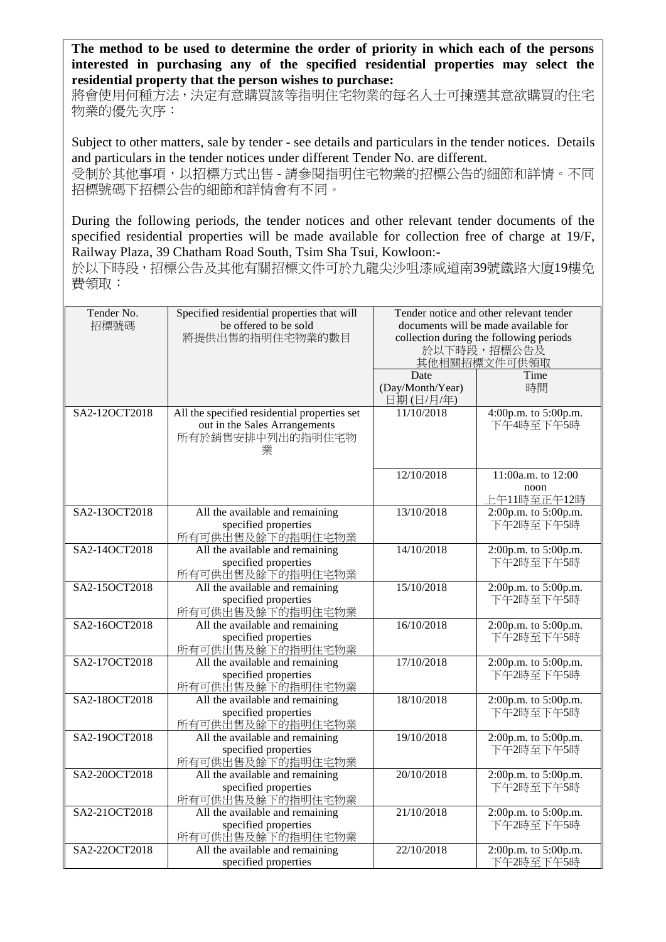**The method to be used to determine the order of priority in which each of the persons interested in purchasing any of the specified residential properties may select the residential property that the person wishes to purchase:** 

將會使用何種方法,決定有意購買該等指明住宅物業的每名人士可揀選其意欲購買的住宅 物業的優先次序:

Subject to other matters, sale by tender - see details and particulars in the tender notices. Details and particulars in the tender notices under different Tender No. are different.

受制於其他事項,以招標方式出售 - 請參閱指明住宅物業的招標公告的細節和詳情。不同 招標號碼下招標公告的細節和詳情會有不同。

During the following periods, the tender notices and other relevant tender documents of the specified residential properties will be made available for collection free of charge at 19/F, Railway Plaza, 39 Chatham Road South, Tsim Sha Tsui, Kowloon:-

於以下時段,招標公告及其他有關招標文件可於九龍尖沙咀漆咸道南39號鐵路大廈19樓免 費領取:

| Tender No.<br>招標號碼 | Specified residential properties that will<br>be offered to be sold<br>將提供出售的指明住宅物業的數目                 | Tender notice and other relevant tender<br>documents will be made available for<br>collection during the following periods<br>於以下時段,招標公告及<br>其他相關招標文件可供領取<br>Time<br>Date |                                           |
|--------------------|--------------------------------------------------------------------------------------------------------|---------------------------------------------------------------------------------------------------------------------------------------------------------------------------|-------------------------------------------|
|                    |                                                                                                        | (Day/Month/Year)<br>日期(日/月/年)                                                                                                                                             | 時間                                        |
| SA2-12OCT2018      | All the specified residential properties set<br>out in the Sales Arrangements<br>所有於銷售安排中列出的指明住宅物<br>業 | 11/10/2018                                                                                                                                                                | 4:00p.m. to 5:00p.m.<br>下午4時至下午5時         |
|                    |                                                                                                        | 12/10/2018                                                                                                                                                                | 11:00a.m. to 12:00<br>noon<br>上午11時至正午12時 |
| SA2-13OCT2018      | All the available and remaining<br>specified properties<br>所有可供出售及餘下的指明住宅物業                            | 13/10/2018                                                                                                                                                                | 2:00p.m. to 5:00p.m.<br>下午2時至下午5時         |
| SA2-14OCT2018      | All the available and remaining<br>specified properties<br>所有可供出售及餘下的指明住宅物業                            | 14/10/2018                                                                                                                                                                | 2:00p.m. to 5:00p.m.<br>下午2時至下午5時         |
| SA2-15OCT2018      | All the available and remaining<br>specified properties<br>所有可供出售及餘下的指明住宅物業                            | 15/10/2018                                                                                                                                                                | $2:00p.m.$ to $5:00p.m.$<br>下午2時至下午5時     |
| SA2-16OCT2018      | All the available and remaining<br>specified properties<br>所有可供出售及餘下的指明住宅物業                            | 16/10/2018                                                                                                                                                                | 2:00p.m. to 5:00p.m.<br>下午2時至下午5時         |
| SA2-17OCT2018      | All the available and remaining<br>specified properties<br>所有可供出售及餘下的指明住宅物業                            | 17/10/2018                                                                                                                                                                | 2:00p.m. to 5:00p.m.<br>下午2時至下午5時         |
| SA2-18OCT2018      | All the available and remaining<br>specified properties<br>所有可供出售及餘下的指明住宅物業                            | 18/10/2018                                                                                                                                                                | 2:00p.m. to 5:00p.m.<br>下午2時至下午5時         |
| SA2-19OCT2018      | All the available and remaining<br>specified properties<br>所有可供出售及餘下的指明住宅物業                            | 19/10/2018                                                                                                                                                                | 2:00p.m. to 5:00p.m.<br>下午2時至下午5時         |
| SA2-20OCT2018      | All the available and remaining<br>specified properties<br>所有可供出售及餘下的指明住宅物業                            | 20/10/2018                                                                                                                                                                | 2:00p.m. to 5:00p.m.<br>下午2時至下午5時         |
| SA2-21OCT2018      | All the available and remaining<br>specified properties<br>所有可供出售及餘下的指明住宅物業                            | 21/10/2018                                                                                                                                                                | 2:00p.m. to 5:00p.m.<br>下午2時至下午5時         |
| SA2-22OCT2018      | All the available and remaining<br>specified properties                                                | 22/10/2018                                                                                                                                                                | 2:00p.m. to 5:00p.m.<br>下午2時至下午5時         |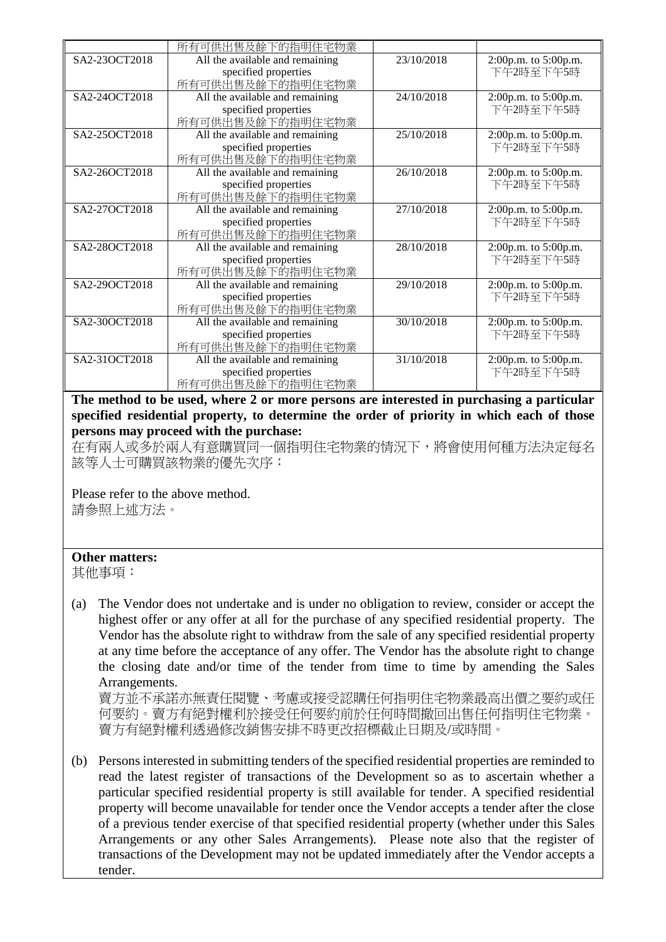|               | 所有可供出售及餘下的指明住宅物業                |            |                      |
|---------------|---------------------------------|------------|----------------------|
| SA2-23OCT2018 | All the available and remaining | 23/10/2018 | 2:00p.m. to 5:00p.m. |
|               | specified properties            |            | 下午2時至下午5時            |
|               | 所有可供出售及餘下的指明住宅物業                |            |                      |
| SA2-24OCT2018 | All the available and remaining | 24/10/2018 | 2:00p.m. to 5:00p.m. |
|               | specified properties            |            | 下午2時至下午5時            |
|               | 所有可供出售及餘下的指明住宅物業                |            |                      |
| SA2-25OCT2018 | All the available and remaining | 25/10/2018 | 2:00p.m. to 5:00p.m. |
|               | specified properties            |            | 下午2時至下午5時            |
|               | 所有可供出售及餘下的指明住宅物業                |            |                      |
| SA2-26OCT2018 | All the available and remaining | 26/10/2018 | 2:00p.m. to 5:00p.m. |
|               | specified properties            |            | 下午2時至下午5時            |
|               | 所有可供出售及餘下的指明住宅物業                |            |                      |
| SA2-27OCT2018 | All the available and remaining | 27/10/2018 | 2:00p.m. to 5:00p.m. |
|               | specified properties            |            | 下午2時至下午5時            |
|               | 所有可供出售及餘下的指明住宅物業                |            |                      |
| SA2-28OCT2018 | All the available and remaining | 28/10/2018 | 2:00p.m. to 5:00p.m. |
|               | specified properties            |            | 下午2時至下午5時            |
|               | 所有可供出售及餘下的指明住宅物業                |            |                      |
| SA2-29OCT2018 | All the available and remaining | 29/10/2018 | 2:00p.m. to 5:00p.m. |
|               | specified properties            |            | 下午2時至下午5時            |
|               | 所有可供出售及餘下的指明住宅物業                |            |                      |
| SA2-30OCT2018 | All the available and remaining | 30/10/2018 | 2:00p.m. to 5:00p.m. |
|               | specified properties            |            | 下午2時至下午5時            |
|               | 所有可供出售及餘下的指明住宅物業                |            |                      |
| SA2-31OCT2018 | All the available and remaining | 31/10/2018 | 2:00p.m. to 5:00p.m. |
|               | specified properties            |            | 下午2時至下午5時            |
|               | 所有可供出售及餘下的指明住宅物業                |            |                      |

**The method to be used, where 2 or more persons are interested in purchasing a particular specified residential property, to determine the order of priority in which each of those persons may proceed with the purchase:**

在有兩人或多於兩人有意購買同一個指明住宅物業的情況下,將會使用何種方法決定每名 該等人士可購買該物業的優先次序:

Please refer to the above method. 請參照上述方法。

## **Other matters:**

其他事項:

(a) The Vendor does not undertake and is under no obligation to review, consider or accept the highest offer or any offer at all for the purchase of any specified residential property. The Vendor has the absolute right to withdraw from the sale of any specified residential property at any time before the acceptance of any offer. The Vendor has the absolute right to change the closing date and/or time of the tender from time to time by amending the Sales Arrangements.

賣方並不承諾亦無責任閱覽、考慮或接受認購任何指明住宅物業最高出價之要約或任 何要約。賣方有絕對權利於接受任何要約前於任何時間撤回出售任何指明住宅物業。 賣方有絕對權利透過修改銷售安排不時更改招標截止日期及/或時間。

(b) Persons interested in submitting tenders of the specified residential properties are reminded to read the latest register of transactions of the Development so as to ascertain whether a particular specified residential property is still available for tender. A specified residential property will become unavailable for tender once the Vendor accepts a tender after the close of a previous tender exercise of that specified residential property (whether under this Sales Arrangements or any other Sales Arrangements). Please note also that the register of transactions of the Development may not be updated immediately after the Vendor accepts a tender.